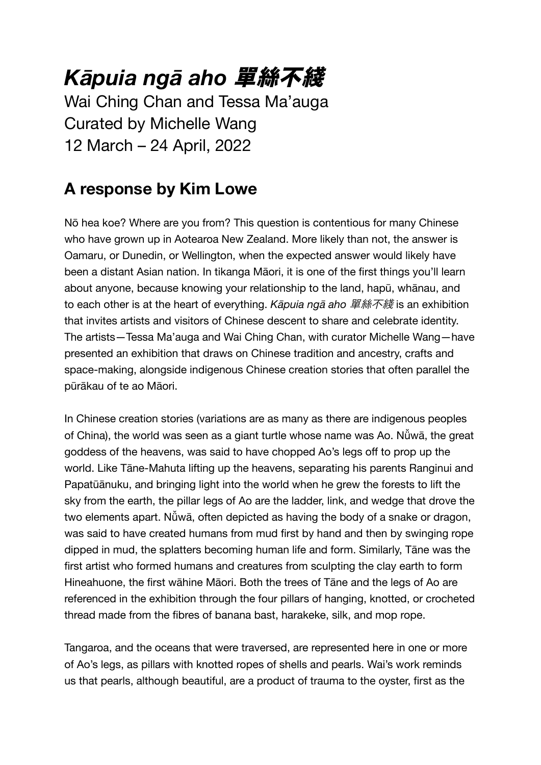## *Kāpuia ngā aho* 單絲不綫

Wai Ching Chan and Tessa Ma'auga Curated by Michelle Wang 12 March – 24 April, 2022

### **A response by Kim Lowe**

Nō hea koe? Where are you from? This question is contentious for many Chinese who have grown up in Aotearoa New Zealand. More likely than not, the answer is Oamaru, or Dunedin, or Wellington, when the expected answer would likely have been a distant Asian nation. In tikanga Māori, it is one of the first things you'll learn about anyone, because knowing your relationship to the land, hapū, whānau, and to each other is at the heart of everything. *Kāpuia ngā aho* 單絲不綫 is an exhibition that invites artists and visitors of Chinese descent to share and celebrate identity. The artists—Tessa Ma'auga and Wai Ching Chan, with curator Michelle Wang—have presented an exhibition that draws on Chinese tradition and ancestry, crafts and space-making, alongside indigenous Chinese creation stories that often parallel the pūrākau of te ao Māori.

In Chinese creation stories (variations are as many as there are indigenous peoples of China), the world was seen as a giant turtle whose name was Ao. Nǚwā, the great goddess of the heavens, was said to have chopped Ao's legs off to prop up the world. Like Tāne-Mahuta lifting up the heavens, separating his parents Ranginui and Papatūānuku, and bringing light into the world when he grew the forests to lift the sky from the earth, the pillar legs of Ao are the ladder, link, and wedge that drove the two elements apart. Nǚwā, often depicted as having the body of a snake or dragon, was said to have created humans from mud first by hand and then by swinging rope dipped in mud, the splatters becoming human life and form. Similarly, Tāne was the first artist who formed humans and creatures from sculpting the clay earth to form Hineahuone, the first wāhine Māori. Both the trees of Tāne and the legs of Ao are referenced in the exhibition through the four pillars of hanging, knotted, or crocheted thread made from the fibres of banana bast, harakeke, silk, and mop rope.

Tangaroa, and the oceans that were traversed, are represented here in one or more of Ao's legs, as pillars with knotted ropes of shells and pearls. Wai's work reminds us that pearls, although beautiful, are a product of trauma to the oyster, first as the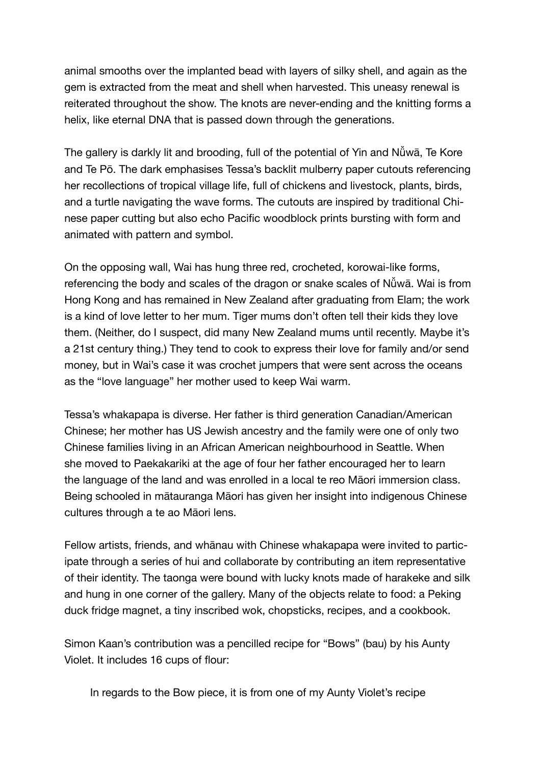animal smooths over the implanted bead with layers of silky shell, and again as the gem is extracted from the meat and shell when harvested. This uneasy renewal is reiterated throughout the show. The knots are never-ending and the knitting forms a helix, like eternal DNA that is passed down through the generations.

The gallery is darkly lit and brooding, full of the potential of Yin and Nǚwā, Te Kore and Te Pō. The dark emphasises Tessa's backlit mulberry paper cutouts referencing her recollections of tropical village life, full of chickens and livestock, plants, birds, and a turtle navigating the wave forms. The cutouts are inspired by traditional Chinese paper cutting but also echo Pacific woodblock prints bursting with form and animated with pattern and symbol.

On the opposing wall, Wai has hung three red, crocheted, korowai-like forms, referencing the body and scales of the dragon or snake scales of Nǚwā. Wai is from Hong Kong and has remained in New Zealand after graduating from Elam; the work is a kind of love letter to her mum. Tiger mums don't often tell their kids they love them. (Neither, do I suspect, did many New Zealand mums until recently. Maybe it's a 21st century thing.) They tend to cook to express their love for family and/or send money, but in Wai's case it was crochet jumpers that were sent across the oceans as the "love language" her mother used to keep Wai warm.

Tessa's whakapapa is diverse. Her father is third generation Canadian/American Chinese; her mother has US Jewish ancestry and the family were one of only two Chinese families living in an African American neighbourhood in Seattle. When she moved to Paekakariki at the age of four her father encouraged her to learn the language of the land and was enrolled in a local te reo Māori immersion class. Being schooled in mātauranga Māori has given her insight into indigenous Chinese cultures through a te ao Māori lens.

Fellow artists, friends, and whānau with Chinese whakapapa were invited to participate through a series of hui and collaborate by contributing an item representative of their identity. The taonga were bound with lucky knots made of harakeke and silk and hung in one corner of the gallery. Many of the objects relate to food: a Peking duck fridge magnet, a tiny inscribed wok, chopsticks, recipes, and a cookbook.

Simon Kaan's contribution was a pencilled recipe for "Bows" (bau) by his Aunty Violet. It includes 16 cups of flour:

In regards to the Bow piece, it is from one of my Aunty Violet's recipe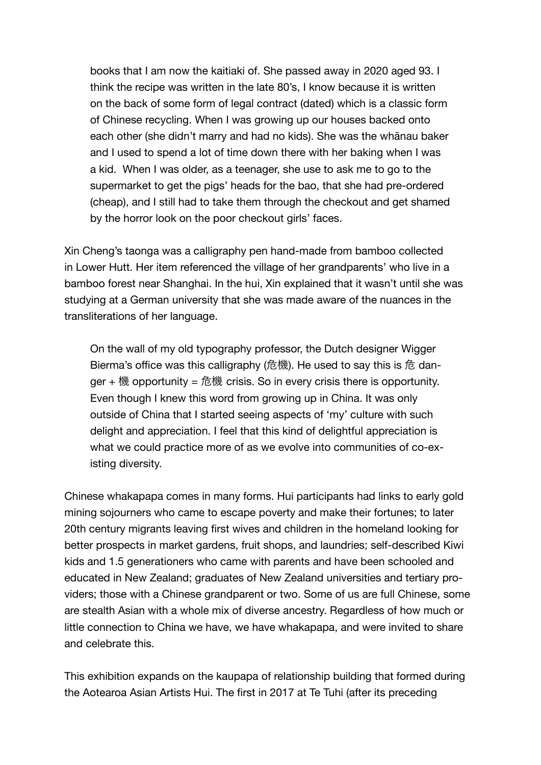books that I am now the kaitiaki of. She passed away in 2020 aged 93. I think the recipe was written in the late 80's, I know because it is written on the back of some form of legal contract (dated) which is a classic form of Chinese recycling. When I was growing up our houses backed onto each other (she didn't marry and had no kids). She was the whānau baker and I used to spend a lot of time down there with her baking when I was a kid. When I was older, as a teenager, she use to ask me to go to the supermarket to get the pigs' heads for the bao, that she had pre-ordered (cheap), and I still had to take them through the checkout and get shamed by the horror look on the poor checkout girls' faces.

Xin Cheng's taonga was a calligraphy pen hand-made from bamboo collected in Lower Hutt. Her item referenced the village of her grandparents' who live in a bamboo forest near Shanghai. In the hui, Xin explained that it wasn't until she was studying at a German university that she was made aware of the nuances in the transliterations of her language.

On the wall of my old typography professor, the Dutch designer Wigger Bierma's office was this calligraphy (危機). He used to say this is 危 danger + 機 opportunity = 危機 crisis. So in every crisis there is opportunity. Even though I knew this word from growing up in China. It was only outside of China that I started seeing aspects of 'my' culture with such delight and appreciation. I feel that this kind of delightful appreciation is what we could practice more of as we evolve into communities of co-existing diversity.

Chinese whakapapa comes in many forms. Hui participants had links to early gold mining sojourners who came to escape poverty and make their fortunes; to later 20th century migrants leaving first wives and children in the homeland looking for better prospects in market gardens, fruit shops, and laundries; self-described Kiwi kids and 1.5 generationers who came with parents and have been schooled and educated in New Zealand; graduates of New Zealand universities and tertiary providers; those with a Chinese grandparent or two. Some of us are full Chinese, some are stealth Asian with a whole mix of diverse ancestry. Regardless of how much or little connection to China we have, we have whakapapa, and were invited to share and celebrate this.

This exhibition expands on the kaupapa of relationship building that formed during the Aotearoa Asian Artists Hui. The first in 2017 at Te Tuhi (after its preceding